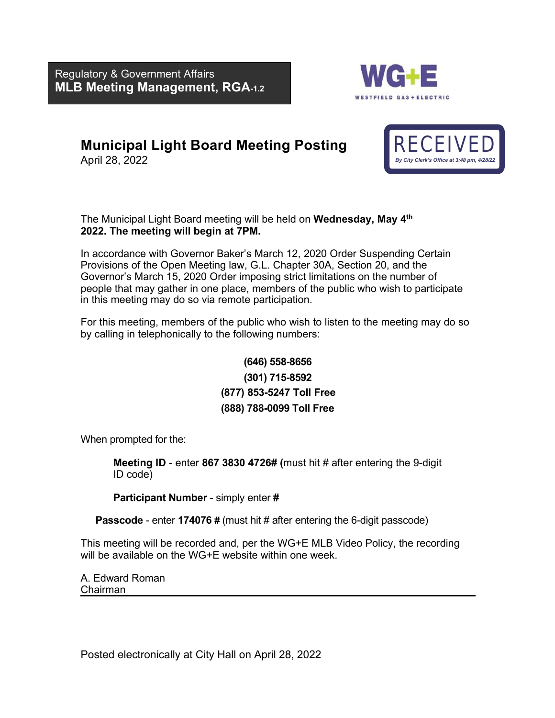Regulatory & Government Affairs **MLB Meeting Management, RGA-1.2**



## **Municipal Light Board Meeting Posting**

April 28, 2022



The Municipal Light Board meeting will be held on **Wednesday, May 4th 2022. The meeting will begin at 7PM.**

In accordance with Governor Baker's March 12, 2020 Order Suspending Certain Provisions of the Open Meeting law, G.L. Chapter 30A, Section 20, and the Governor's March 15, 2020 Order imposing strict limitations on the number of people that may gather in one place, members of the public who wish to participate in this meeting may do so via remote participation.

For this meeting, members of the public who wish to listen to the meeting may do so by calling in telephonically to the following numbers:

### **[\(646\) 5](tel:+1.857.444.6500,,916580061)58-8656 (301) 715-8592 (877) 853-5247 Toll Free (888) 788-0099 Toll Free**

When prompted for the:

**Meeting ID** - enter **867 3830 4726# (**must hit # after entering the 9-digit ID code)

**Participant Number** - simply enter **#** 

**Passcode** - enter **174076 #** (must hit # after entering the 6-digit passcode)

This meeting will be recorded and, per the WG+E MLB Video Policy, the recording will be available on the WG+E website within one week.

A. Edward Roman Chairman

Posted electronically at City Hall on April 28, 2022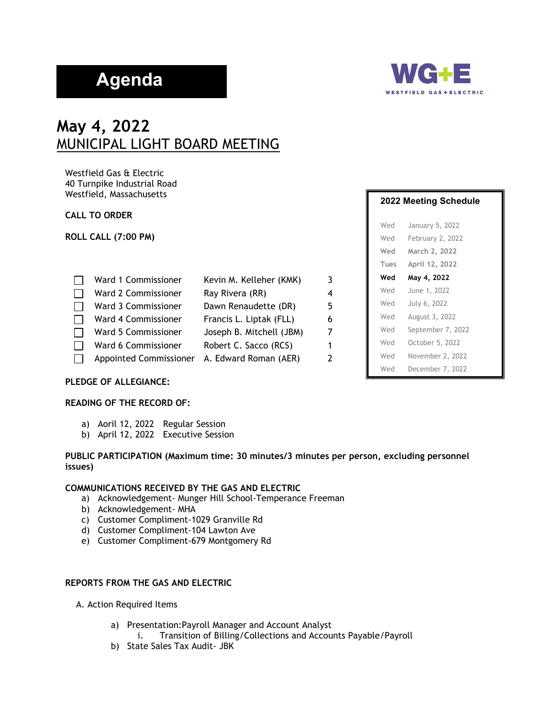# **Agenda**



**2022 Meeting Schedule** 

Wed January 5, 2022 Wed February 2, 2022 **Wed March 2, 2022 Tues April 12, 2022 Wed May 4, 2022** Wed June 1, 2022 Wed July 6, 2022 Wed August 3, 2022 Wed September 7, 2022 Wed October 5, 2022 Wed November 2, 2022 Wed December 7, 2022

## **May 4, 2022** MUNICIPAL LIGHT BOARD MEETING

Westfield Gas & Electric 40 Turnpike Industrial Road Westfield, Massachusetts

#### **CALL TO ORDER**

**ROLL CALL (7:00 PM)** 

| Ward 1 Commissioner           | Kevin M. Kelleher (KMK)  |   |
|-------------------------------|--------------------------|---|
| Ward 2 Commissioner           | Ray Rivera (RR)          |   |
| Ward 3 Commissioner           | Dawn Renaudette (DR)     | 5 |
| Ward 4 Commissioner           | Francis L. Liptak (FLL)  | 6 |
| Ward 5 Commissioner           | Joseph B. Mitchell (JBM) |   |
| Ward 6 Commissioner           | Robert C. Sacco (RCS)    | 1 |
| <b>Appointed Commissioner</b> | A. Edward Roman (AER)    |   |

#### **PLEDGE OF ALLEGIANCE:**

#### **READING OF THE RECORD OF:**

- a) Aoril 12, 2022 Regular Session
- b) April 12, 2022 Executive Session

#### **PUBLIC PARTICIPATION (Maximum time: 30 minutes/3 minutes per person, excluding personnel issues)**

#### **COMMUNICATIONS RECEIVED BY THE GAS AND ELECTRIC**

- a) Acknowledgement- Munger Hill School-Temperance Freeman
- b) Acknowledgement- MHA
- c) Customer Compliment-1029 Granville Rd
- d) Customer Compliment-104 Lawton Ave
- e) Customer Compliment-679 Montgomery Rd

#### **REPORTS FROM THE GAS AND ELECTRIC**

- A. Action Required Items
	- a) Presentation:Payroll Manager and Account Analyst
		- i. Transition of Billing/Collections and Accounts Payable/Payroll
	- b) State Sales Tax Audit- JBK